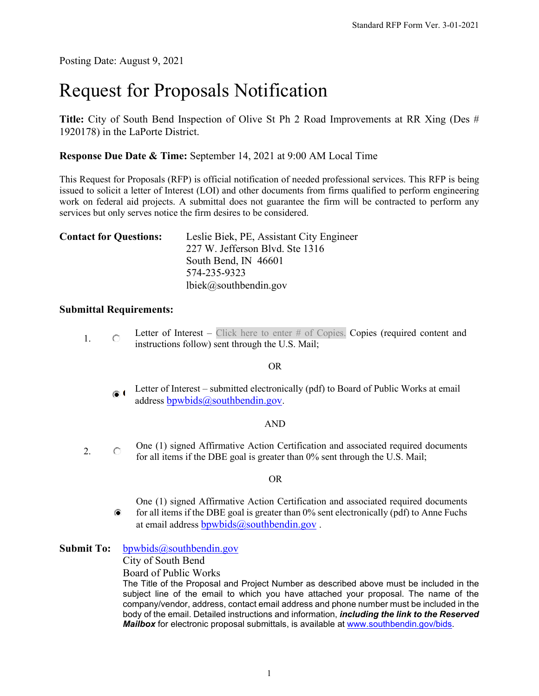Posting Date: August 9, 2021

# Request for Proposals Notification

**Title:** City of South Bend Inspection of Olive St Ph 2 Road Improvements at RR Xing (Des # 1920178) in the LaPorte District.

# **Response Due Date & Time:** September 14, 2021 at 9:00 AM Local Time

This Request for Proposals (RFP) is official notification of needed professional services. This RFP is being issued to solicit a letter of Interest (LOI) and other documents from firms qualified to perform engineering work on federal aid projects. A submittal does not guarantee the firm will be contracted to perform any services but only serves notice the firm desires to be considered.

| <b>Contact for Questions:</b> | Leslie Biek, PE, Assistant City Engineer |
|-------------------------------|------------------------------------------|
|                               | 227 W. Jefferson Blvd. Ste 1316          |
|                               | South Bend, IN 46601                     |
|                               | 574-235-9323                             |
|                               | $lbiek@$ southbendin.gov                 |

### **Submittal Requirements:**

1.  $\circ$  Letter of Interest – Click here to enter # of Copies. Copies (required content and instructions follow) sent through the U.S. Mail;

#### OR

Letter of Interest – submitted electronically (pdf) to Board of Public Works at email 6€ address [bpwbids@southbendin.gov.](mailto:bpwbids@southbendin.gov)

#### AND

2.  $\degree$  One (1) signed Affirmative Action Certification and associated required documents for all items if the DBE goal is greater than 0% sent through the U.S. Mail;

#### OR

One (1) signed Affirmative Action Certification and associated required documents  $\bullet$ for all items if the DBE goal is greater than 0% sent electronically (pdf) to Anne Fuchs at email address **bpwbids**  $@$  south bendin.gov.

#### **Submit To:** [bpwbids@southbendin.gov](mailto:bpwbids@southbendin.gov)

City of South Bend

# Board of Public Works

The Title of the Proposal and Project Number as described above must be included in the subject line of the email to which you have attached your proposal. The name of the company/vendor, address, contact email address and phone number must be included in the body of the email. Detailed instructions and information, *including the link to the Reserved Mailbox* for electronic proposal submittals, is available at [www.southbendin.gov/bids.](http://www.southbendin.gov/bids)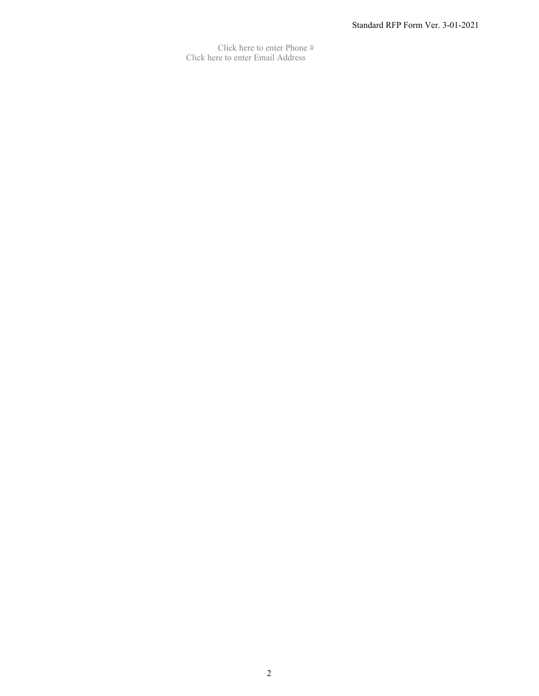Click here to enter Phone # Click here to enter Email Address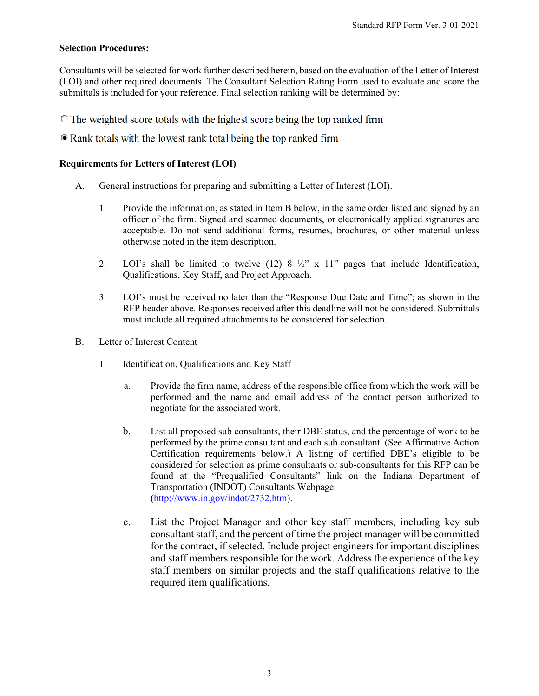# **Selection Procedures:**

Consultants will be selected for work further described herein, based on the evaluation of the Letter of Interest (LOI) and other required documents. The Consultant Selection Rating Form used to evaluate and score the submittals is included for your reference. Final selection ranking will be determined by:

- $\circ$  The weighted score totals with the highest score being the top ranked firm
- Rank totals with the lowest rank total being the top ranked firm

### **Requirements for Letters of Interest (LOI)**

- A. General instructions for preparing and submitting a Letter of Interest (LOI).
	- 1. Provide the information, as stated in Item B below, in the same order listed and signed by an officer of the firm. Signed and scanned documents, or electronically applied signatures are acceptable. Do not send additional forms, resumes, brochures, or other material unless otherwise noted in the item description.
	- 2. LOI's shall be limited to twelve  $(12)$  8  $\frac{1}{2}$ " x 11" pages that include Identification, Qualifications, Key Staff, and Project Approach.
	- 3. LOI's must be received no later than the "Response Due Date and Time"; as shown in the RFP header above. Responses received after this deadline will not be considered. Submittals must include all required attachments to be considered for selection.
- B. Letter of Interest Content
	- 1. Identification, Qualifications and Key Staff
		- a. Provide the firm name, address of the responsible office from which the work will be performed and the name and email address of the contact person authorized to negotiate for the associated work.
		- b. List all proposed sub consultants, their DBE status, and the percentage of work to be performed by the prime consultant and each sub consultant. (See Affirmative Action Certification requirements below.) A listing of certified DBE's eligible to be considered for selection as prime consultants or sub-consultants for this RFP can be found at the "Prequalified Consultants" link on the Indiana Department of Transportation (INDOT) Consultants Webpage. [\(http://www.in.gov/indot/2732.htm\)](http://www.in.gov/indot/2732.htm).
		- c. List the Project Manager and other key staff members, including key sub consultant staff, and the percent of time the project manager will be committed for the contract, if selected. Include project engineers for important disciplines and staff members responsible for the work. Address the experience of the key staff members on similar projects and the staff qualifications relative to the required item qualifications.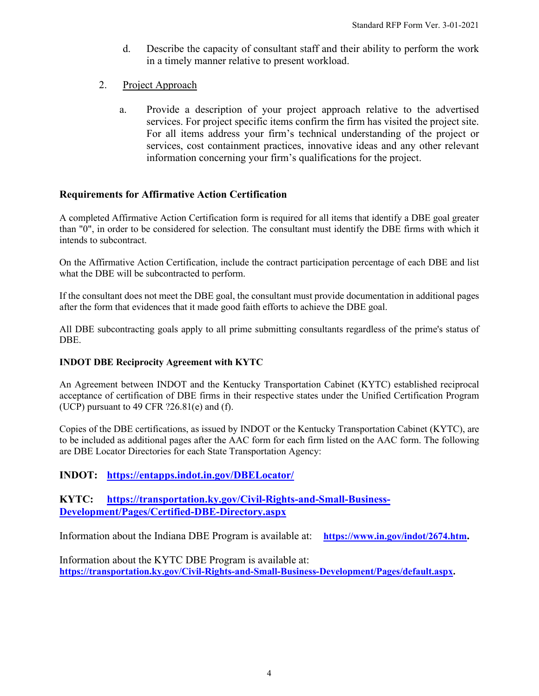- d. Describe the capacity of consultant staff and their ability to perform the work in a timely manner relative to present workload.
- 2. Project Approach
	- a. Provide a description of your project approach relative to the advertised services. For project specific items confirm the firm has visited the project site. For all items address your firm's technical understanding of the project or services, cost containment practices, innovative ideas and any other relevant information concerning your firm's qualifications for the project.

# **Requirements for Affirmative Action Certification**

A completed Affirmative Action Certification form is required for all items that identify a DBE goal greater than "0", in order to be considered for selection. The consultant must identify the DBE firms with which it intends to subcontract.

On the Affirmative Action Certification, include the contract participation percentage of each DBE and list what the DBE will be subcontracted to perform.

If the consultant does not meet the DBE goal, the consultant must provide documentation in additional pages after the form that evidences that it made good faith efforts to achieve the DBE goal.

All DBE subcontracting goals apply to all prime submitting consultants regardless of the prime's status of DBE.

# **INDOT DBE Reciprocity Agreement with KYTC**

An Agreement between INDOT and the Kentucky Transportation Cabinet (KYTC) established reciprocal acceptance of certification of DBE firms in their respective states under the Unified Certification Program (UCP) pursuant to 49 CFR  $?26.81(e)$  and (f).

Copies of the DBE certifications, as issued by INDOT or the Kentucky Transportation Cabinet (KYTC), are to be included as additional pages after the AAC form for each firm listed on the AAC form. The following are DBE Locator Directories for each State Transportation Agency:

# **INDOT: <https://entapps.indot.in.gov/DBELocator/>**

# **KYTC: [https://transportation.ky.gov/Civil-Rights-and-Small-Business-](https://transportation.ky.gov/Civil-Rights-and-Small-Business-Development/Pages/Certified-DBE-Directory.aspx)[Development/Pages/Certified-DBE-Directory.aspx](https://transportation.ky.gov/Civil-Rights-and-Small-Business-Development/Pages/Certified-DBE-Directory.aspx)**

Information about the Indiana DBE Program is available at: **[https://www.in.gov/indot/2674.htm.](https://www.in.gov/indot/2674.htm)**

Information about the KYTC DBE Program is available at: **[https://transportation.ky.gov/Civil-Rights-and-Small-Business-Development/Pages/default.aspx.](https://transportation.ky.gov/Civil-Rights-and-Small-Business-Development/Pages/default.aspx)**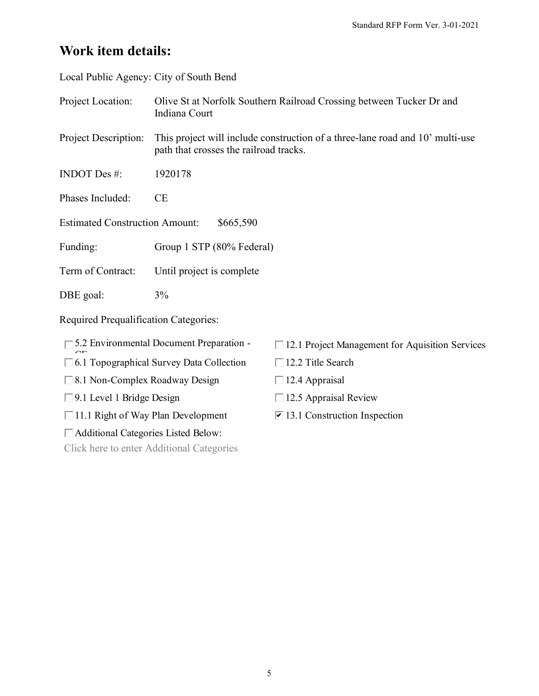# **Work item details:**

Local Public Agency: City of South Bend

| Project Location:                                  | Olive St at Norfolk Southern Railroad Crossing between Tucker Dr and<br>Indiana Court                                   |  |  |  |
|----------------------------------------------------|-------------------------------------------------------------------------------------------------------------------------|--|--|--|
| <b>Project Description:</b>                        | This project will include construction of a three-lane road and 10' multi-use<br>path that crosses the railroad tracks. |  |  |  |
| <b>INDOT</b> Des $#$ :                             | 1920178                                                                                                                 |  |  |  |
| Phases Included:                                   | <b>CE</b>                                                                                                               |  |  |  |
| <b>Estimated Construction Amount:</b><br>\$665,590 |                                                                                                                         |  |  |  |
| Funding:                                           | Group 1 STP (80% Federal)                                                                                               |  |  |  |
| Term of Contract:                                  | Until project is complete                                                                                               |  |  |  |
| DBE goal:                                          | $3\%$                                                                                                                   |  |  |  |

Required Prequalification Categories:

| $\Box$ 5.2 Environmental Document Preparation - |  |
|-------------------------------------------------|--|
|-------------------------------------------------|--|

 $\tilde{\mathcal{L}}$ 6.1 Topographical Survey Data Collection 12.2 Title Search

□ 8.1 Non-Complex Roadway Design □ 12.4 Appraisal

□ 9.1 Level 1 Bridge Design 12.5 Appraisal Review

 $\Box$  11.1 Right of Way Plan Development  $\Box$  13.1 Construction Inspection

Additional Categories Listed Below:

Click here to enter Additional Categories

□ 12.1 Project Management for Aquisition Services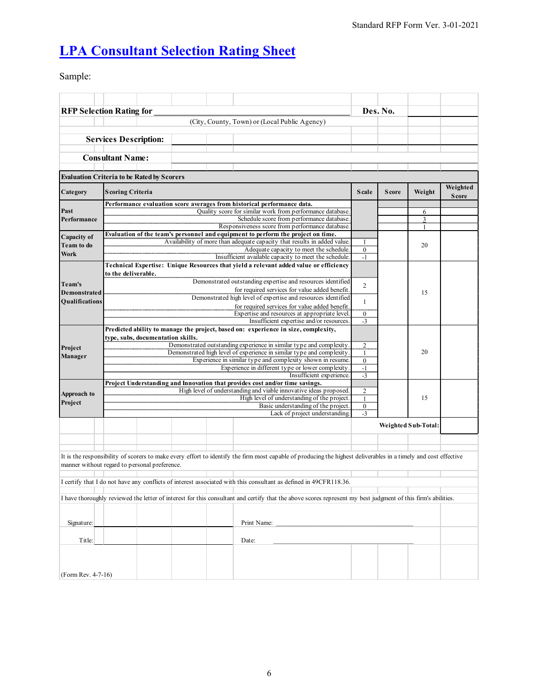# **[LPA Consultant Selection Rating Sheet](http://www.in.gov/indot/files/LPA_Consultant_Selection_Rating_Sheet_for_Standard_Template.xls)**

Sample:

|                     | <b>RFP Selection Rating for</b>                                                                                                                                 |                                                               | Des. No.     |                     |                          |
|---------------------|-----------------------------------------------------------------------------------------------------------------------------------------------------------------|---------------------------------------------------------------|--------------|---------------------|--------------------------|
|                     | (City, County, Town) or (Local Public Agency)                                                                                                                   |                                                               |              |                     |                          |
|                     |                                                                                                                                                                 |                                                               |              |                     |                          |
|                     | <b>Services Description:</b>                                                                                                                                    |                                                               |              |                     |                          |
|                     | <b>Consultant Name:</b>                                                                                                                                         |                                                               |              |                     |                          |
|                     |                                                                                                                                                                 |                                                               |              |                     |                          |
|                     | <b>Evaluation Criteria to be Rated by Scorers</b>                                                                                                               |                                                               |              |                     |                          |
| Category            | <b>Scoring Criteria</b>                                                                                                                                         | <b>Scale</b>                                                  | <b>Score</b> | Weight              | Weighted<br><b>Score</b> |
| Past                | Performance evaluation score averages from historical performance data.<br>Quality score for similar work from performance database.                            |                                                               |              |                     |                          |
| Performance         |                                                                                                                                                                 | Schedule score from performance database.                     |              | 6<br>3              |                          |
|                     |                                                                                                                                                                 | Responsiveness score from performance database.               |              |                     |                          |
| Capacity of         | Evaluation of the team's personnel and equipment to perform the project on time.                                                                                |                                                               |              |                     |                          |
| Team to do          | Availability of more than adequate capacity that results in added value.                                                                                        |                                                               |              | 20                  |                          |
| <b>Work</b>         |                                                                                                                                                                 | Adequate capacity to meet the schedule.<br>$\boldsymbol{0}$   |              |                     |                          |
|                     |                                                                                                                                                                 | Insufficient available capacity to meet the schedule.<br>$-1$ |              |                     |                          |
|                     | Technical Expertise: Unique Resources that yield a relevant added value or efficiency<br>to the deliverable.                                                    |                                                               |              |                     |                          |
| Team's              | Demonstrated outstanding expertise and resources identified                                                                                                     | $\overline{2}$                                                |              |                     |                          |
| <b>Demonstrated</b> | for required services for value added benefit.                                                                                                                  |                                                               |              | 15                  |                          |
| Qualifications      | Demonstrated high level of expertise and resources identified                                                                                                   | 1                                                             |              |                     |                          |
|                     |                                                                                                                                                                 | for required services for value added benefit.                |              |                     |                          |
|                     |                                                                                                                                                                 | Expertise and resources at appropriate level.<br>$\bf{0}$     |              |                     |                          |
|                     |                                                                                                                                                                 | Insufficient expertise and/or resources<br>$-3$               |              |                     |                          |
|                     | Predicted ability to manage the project, based on: experience in size, complexity,                                                                              |                                                               |              |                     |                          |
|                     | type, subs, documentation skills.                                                                                                                               |                                                               |              | 20                  |                          |
| Project             | Demonstrated outstanding experience in similar type and complexity                                                                                              | $\mathbf{2}$                                                  |              |                     |                          |
| Manager             | Demonstrated high level of experience in similar type and complexity<br>Experience in similar type and complexity shown in resume.                              | $\mathbf{1}$<br>$\boldsymbol{0}$                              |              |                     |                          |
|                     |                                                                                                                                                                 | Experience in different type or lower complexity<br>$-1$      |              |                     |                          |
|                     |                                                                                                                                                                 | $\overline{\overline{\cdot 3}}$<br>Insufficient experience.   |              |                     |                          |
|                     | Project Understanding and Innovation that provides cost and/or time savings.                                                                                    |                                                               |              |                     |                          |
|                     | High level of understanding and viable innovative ideas proposed.                                                                                               | $\overline{c}$                                                |              |                     |                          |
| Approach to         |                                                                                                                                                                 | High level of understanding of the project.<br>1              |              | 15                  |                          |
| Project             |                                                                                                                                                                 | Basic understanding of the project.<br>$\bf{0}$               |              |                     |                          |
|                     |                                                                                                                                                                 | Lack of project understanding<br>$-3$                         |              |                     |                          |
|                     |                                                                                                                                                                 |                                                               |              | Weighted Sub-Total: |                          |
|                     |                                                                                                                                                                 |                                                               |              |                     |                          |
|                     | It is the responsibility of scorers to make every effort to identify the firm most capable of producing the highest deliverables in a timely and cost effective |                                                               |              |                     |                          |
|                     | manner without regard to personal preference.                                                                                                                   |                                                               |              |                     |                          |
|                     | I certify that I do not have any conflicts of interest associated with this consultant as defined in 49CFR118.36.                                               |                                                               |              |                     |                          |
|                     | I have thoroughly reviewed the letter of interest for this consultant and certify that the above scores represent my best judgment of this firm's abilities.    |                                                               |              |                     |                          |
|                     |                                                                                                                                                                 |                                                               |              |                     |                          |
| Signature:          | Print Name:                                                                                                                                                     |                                                               |              |                     |                          |
| Title:              | Date:                                                                                                                                                           |                                                               |              |                     |                          |
|                     |                                                                                                                                                                 |                                                               |              |                     |                          |
|                     |                                                                                                                                                                 |                                                               |              |                     |                          |
| (Form Rev. 4-7-16)  |                                                                                                                                                                 |                                                               |              |                     |                          |